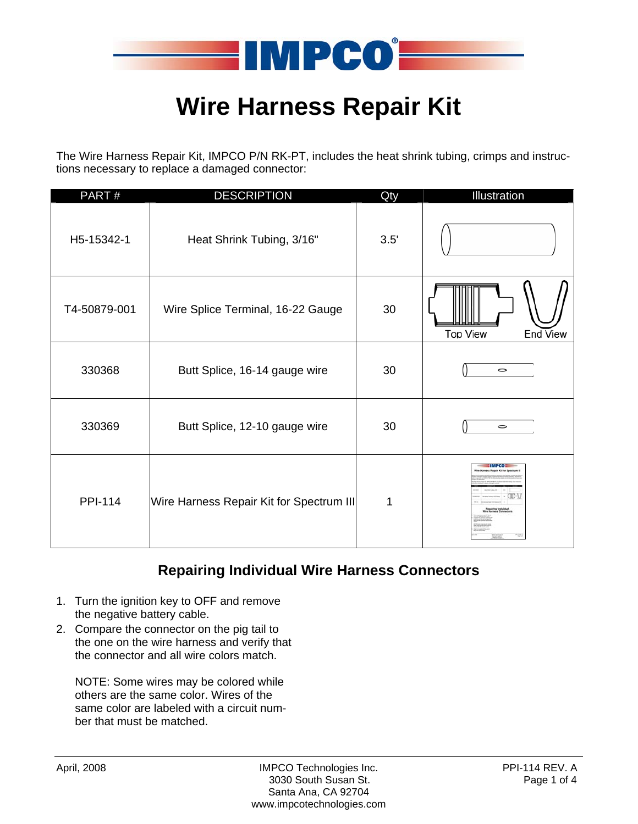

# **Wire Harness Repair Kit**

The Wire Harness Repair Kit, IMPCO P/N RK-PT, includes the heat shrink tubing, crimps and instructions necessary to replace a damaged connector:

| PART#          | <b>DESCRIPTION</b>                       | Qty  | Illustration                |
|----------------|------------------------------------------|------|-----------------------------|
| H5-15342-1     | Heat Shrink Tubing, 3/16"                | 3.5' |                             |
| T4-50879-001   | Wire Splice Terminal, 16-22 Gauge        | 30   | <b>Top View</b><br>End View |
| 330368         | Butt Splice, 16-14 gauge wire            | 30   | $\circ$                     |
| 330369         | Butt Splice, 12-10 gauge wire            | 30   | $\circ$                     |
| <b>PPI-114</b> | Wire Harness Repair Kit for Spectrum III | 1    |                             |

## **Repairing Individual Wire Harness Connectors**

- 1. Turn the ignition key to OFF and remove the negative battery cable.
- 2. Compare the connector on the pig tail to the one on the wire harness and verify that the connector and all wire colors match.

NOTE: Some wires may be colored while others are the same color. Wires of the same color are labeled with a circuit number that must be matched.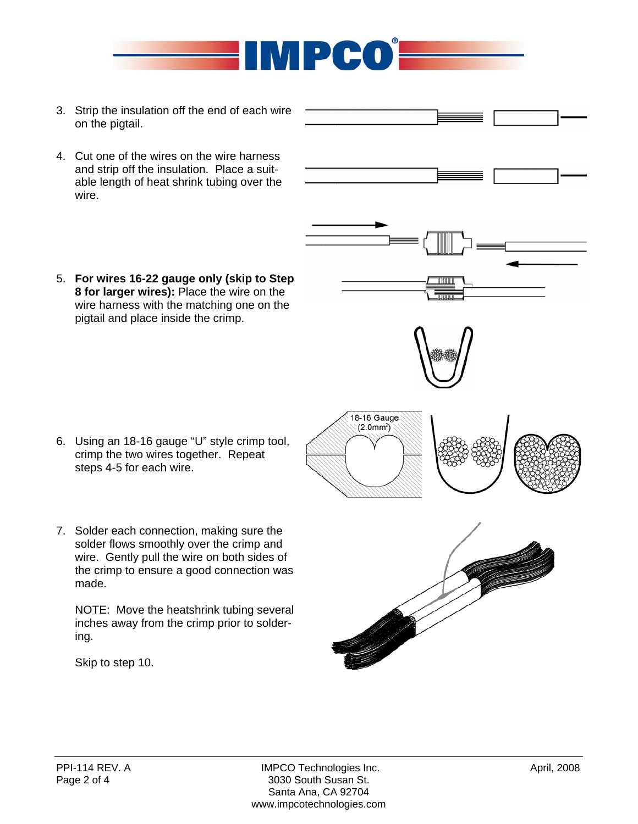

- 3. Strip the insulation off the end of each wire on the pigtail.
- 4. Cut one of the wires on the wire harness and strip off the insulation. Place a suitable length of heat shrink tubing over the wire.
- 5. **For wires 16-22 gauge only (skip to Step 8 for larger wires):** Place the wire on the wire harness with the matching one on the pigtail and place inside the crimp.

- 6. Using an 18-16 gauge "U" style crimp tool, crimp the two wires together. Repeat steps 4-5 for each wire.
- 7. Solder each connection, making sure the solder flows smoothly over the crimp and wire. Gently pull the wire on both sides of the crimp to ensure a good connection was made.

NOTE: Move the heatshrink tubing several inches away from the crimp prior to soldering.

Skip to step 10.









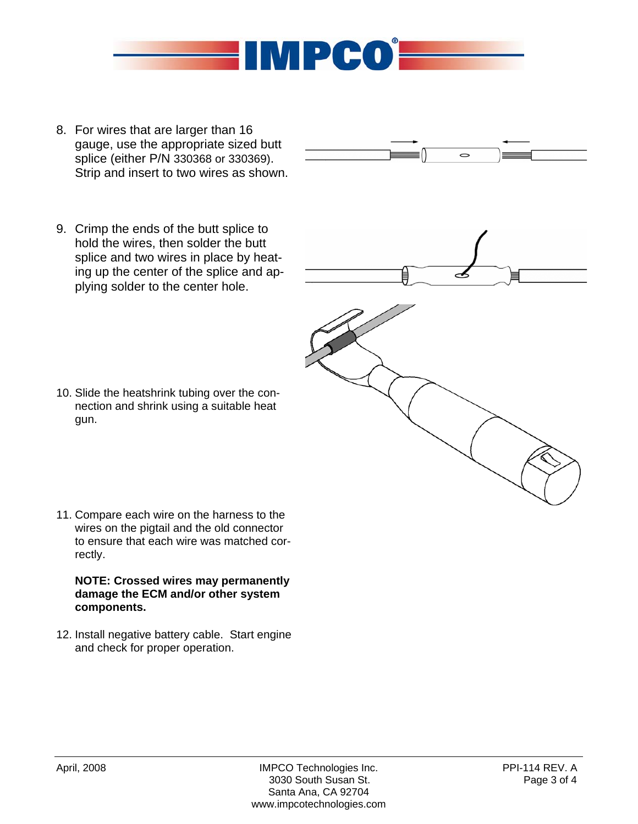

- 8. For wires that are larger than 16 gauge, use the appropriate sized butt splice (either P/N 330368 or 330369). Strip and insert to two wires as shown.
- 9. Crimp the ends of the butt splice to hold the wires, then solder the butt splice and two wires in place by heating up the center of the splice and applying solder to the center hole.



 $\circ$ 



- 10. Slide the heatshrink tubing over the connection and shrink using a suitable heat gun.
- 11. Compare each wire on the harness to the wires on the pigtail and the old connector to ensure that each wire was matched correctly.

### **NOTE: Crossed wires may permanently damage the ECM and/or other system components.**

12. Install negative battery cable. Start engine and check for proper operation.